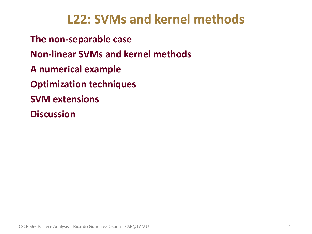## **L22: SVMs and kernel methods**

• **The non-separable case** • **Non-linear SVMs and kernel methods** • **A numerical example** • **Optimization techniques**  • **SVM extensions** • **Discussion**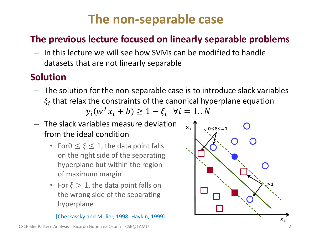## **The non-separable case**

## • **The previous lecture focused on linearly separable problems**

– In this lecture we will see how SVMs can be modified to handle datasets that are not linearly separable

## • **Solution**

- The solution for the non-separable case is to introduce slack variables  $\xi_i$  that relax the constraints of the canonical hyperplane equation  $y_i(w^T x_i + b) \ge 1 - \xi_i \quad \forall i = 1..N$
- The slack variables measure deviation from the ideal condition
	- For $0 \leq \xi \leq 1$ , the data point falls on the right side of the separating hyperplane but within the region of maximum margin
	- For  $\xi > 1$ , the data point falls on the wrong side of the separating hyperplane

[Cherkassky and Mulier, 1998; Haykin, 1999]

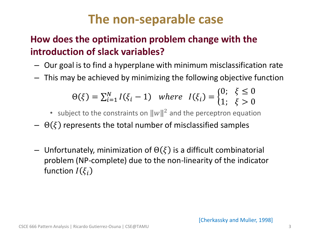## **The non-separable case**

## • **How does the optimization problem change with the introduction of slack variables?**

- Our goal is to find a hyperplane with minimum misclassification rate
- This may be achieved by minimizing the following objective function

$$
\Theta(\xi) = \sum_{i=1}^{N} I(\xi_i - 1) \quad \text{where} \quad I(\xi_i) = \begin{cases} 0; & \xi \le 0 \\ 1; & \xi > 0 \end{cases}
$$

- subject to the constraints on  $||w||^2$  and the perceptron equation
- $\Theta(\xi)$  represents the total number of misclassified samples
- Unfortunately, minimization of  $\Theta(\xi)$  is a difficult combinatorial problem (NP-complete) due to the non-linearity of the indicator function  $I(\xi_i)$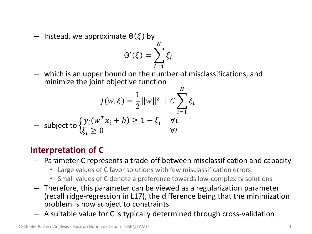– Instead, we approximate  $\Theta(\xi)$  by

$$
\Theta'(\xi) = \sum_{i=1}^N \xi_i
$$

– which is an upper bound on the number of misclassifications, and minimize the joint objective function

$$
J(w,\xi) = \frac{1}{2} ||w||^2 + C \sum_{i=1}^{N} \xi_i
$$
  
- subject to 
$$
\begin{cases} y_i(w^T x_i + b) \ge 1 - \xi_i & \forall i \\ \xi_i \ge 0 & \forall i \end{cases}
$$

### • **Interpretation of C**

- Parameter C represents a trade-off between misclassification and capacity
	- Large values of C favor solutions with few misclassification errors
	- Small values of C denote a preference towards low-complexity solutions
- Therefore, this parameter can be viewed as a regularization parameter (recall ridge-regression in L17), the difference being that the minimization problem is now subject to constraints
- A suitable value for C is typically determined through cross-validation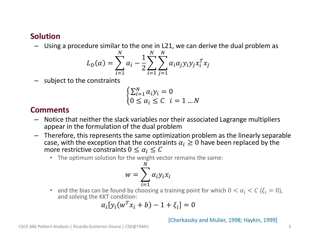#### • **Solution**

– Using a procedure similar to the one in L21, we can derive the dual problem as

$$
L_D(\alpha) = \sum_{i=1}^N \alpha_i - \frac{1}{2} \sum_{i=1}^N \sum_{j=1}^N \alpha_i \alpha_j y_i y_j x_i^T x_j
$$

– subject to the constraints

$$
\begin{cases} \sum_{i=1}^{N} \alpha_i y_i = 0\\ 0 \le \alpha_i \le C \quad i = 1 \dots N \end{cases}
$$

#### • **Comments**

- Notice that neither the slack variables nor their associated Lagrange multipliers appear in the formulation of the dual problem
- Therefore, this represents the same optimization problem as the linearly separable case, with the exception that the constraints  $\alpha_i \geq 0$  have been replaced by the more restrictive constraints  $0 \leq \alpha_i \leq C$ 
	- The optimum solution for the weight vector remains the same:

$$
w = \sum_{i=1}^{N} \alpha_i y_i x_i
$$

• and the bias can be found by choosing a training point for which  $0 < \alpha_i < C$  ( $\xi_i = 0$ ), and solving the KKT condition:

$$
\alpha_i[y_i(w^T x_i + b) - 1 + \xi_i] = 0
$$

#### [Cherkassky and Mulier, 1998; Haykin, 1999]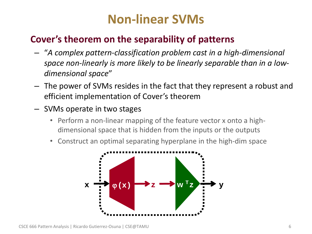## **Non-linear SVMs**

## • **Cover's theorem on the separability of patterns**

- "*A complex pattern-classification problem cast in a high-dimensional space non-linearly is more likely to be linearly separable than in a lowdimensional space*"
- The power of SVMs resides in the fact that they represent a robust and efficient implementation of Cover's theorem
- SVMs operate in two stages
	- Perform a non-linear mapping of the feature vector x onto a highdimensional space that is hidden from the inputs or the outputs
	- Construct an optimal separating hyperplane in the high-dim space

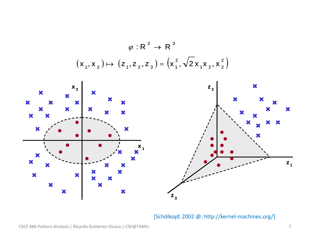

[Schölkopf, 2002 @; http://kernel-machines.org/]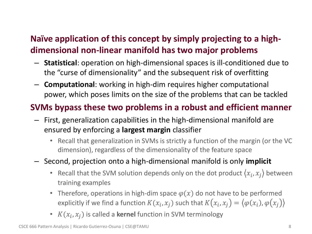### • **Naïve application of this concept by simply projecting to a highdimensional non-linear manifold has two major problems**

- **Statistical**: operation on high-dimensional spaces is ill-conditioned due to the "curse of dimensionality" and the subsequent risk of overfitting
- **Computational**: working in high-dim requires higher computational power, which poses limits on the size of the problems that can be tackled

### • **SVMs bypass these two problems in a robust and efficient manner**

- First, generalization capabilities in the high-dimensional manifold are ensured by enforcing a **largest margin** classifier
	- Recall that generalization in SVMs is strictly a function of the margin (or the VC dimension), regardless of the dimensionality of the feature space
- Second, projection onto a high-dimensional manifold is only **implicit** 
	- Recall that the SVM solution depends only on the dot product  $\langle x_i, x_j \rangle$  between training examples
	- Therefore, operations in high-dim space  $\varphi(x)$  do not have to be performed explicitly if we find a function  $K(x_i, x_j)$  such that  $K\big(x_i, x_j\big) = \big\langle \varphi(x_i), \varphi\big(x_j\big) \big\rangle$
	- $K(x_i, x_j)$  is called a **kernel** function in SVM terminology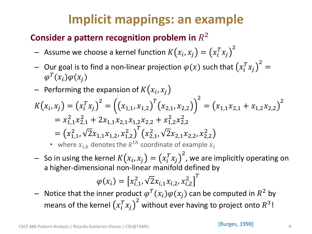## **Implicit mappings: an example**

## **Consider a pattern recognition problem in**  $R^2$

- $-$  Assume we choose a kernel function  $K\big(x_i, x_j\big) = \big(x_i^T x_j\big)$ 2
- $-$  Our goal is to find a non-linear projection  $\varphi(x)$  such that  $\big( x_i^T x_j$ 2 =  $\varphi^{T}(x_i)\varphi(x_j)$
- $-$  Performing the expansion of  $K(x_i, x_j)$

$$
K(x_i, x_j) = (x_i^T x_j)^2 = ((x_{1,1}, x_{1,2})^T (x_{2,1}, x_{2,2}))^2 = (x_{1,1} x_{2,1} + x_{1,2} x_{2,2})^2
$$
  
=  $x_{1,1}^2 x_{2,1}^2 + 2x_{1,1} x_{2,1} x_{1,2} x_{2,2} + x_{1,2}^2 x_{2,2}^2$   
=  $(x_{1,1}^2, \sqrt{2}x_{1,1} x_{1,2}, x_{1,2}^2)^T (x_{2,1}^2, \sqrt{2}x_{2,1} x_{2,2}, x_{2,2}^2)$ 

• where  $x_{i,k}$  denotes the  $k^{th}$  coordinate of example  $x_i$ 

 $-$  So in using the kernel  $K\big(x_i, x_j\big) = \big(x_i^T x_j\big)$ 2 , we are implicitly operating on a higher-dimensional non-linear manifold defined by

$$
\varphi(x_i) = \left[x_{i,1}^2, \sqrt{2}x_{i,1}x_{i,2}, x_{i,2}^2\right]^T
$$

 $-$  Notice that the inner product  $\varphi^T(x_i)\varphi(x_j)$  can be computed in  $R^2$  by means of the kernel  $\left(x_i^T x_j\right)$ 2 without ever having to project onto  $R^3!$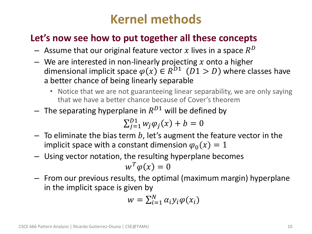## **Kernel methods**

### • **Let's now see how to put together all these concepts**

- $-$  Assume that our original feature vector  $x$  lives in a space  $R^D$
- We are interested in non-linearly projecting x onto a higher dimensional implicit space  $\varphi(x) \in R^{D1}$   $(D1 > D)$  where classes have a better chance of being linearly separable
	- Notice that we are not guaranteeing linear separability, we are only saying that we have a better chance because of Cover's theorem
- $-$  The separating hyperplane in  $R^{D1}$  will be defined by

$$
\sum_{j=1}^{D1} w_j \varphi_j(x) + b = 0
$$

- $-$  To eliminate the bias term b, let's augment the feature vector in the implicit space with a constant dimension  $\varphi_0(x) = 1$
- Using vector notation, the resulting hyperplane becomes  $w^T \varphi(x) = 0$
- From our previous results, the optimal (maximum margin) hyperplane in the implicit space is given by

$$
w = \sum_{i=1}^{N} \alpha_i y_i \varphi(x_i)
$$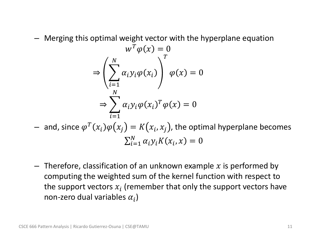– Merging this optimal weight vector with the hyperplane equation

$$
w^T \varphi(x) = 0
$$
  
\n
$$
\Rightarrow \left(\sum_{i=1}^N \alpha_i y_i \varphi(x_i)\right)^T \varphi(x) = 0
$$
  
\n
$$
\Rightarrow \sum_{i=1}^N \alpha_i y_i \varphi(x_i)^T \varphi(x) = 0
$$

 $-$  and, since  $\varphi^T(x_i) \varphi \big( x_j \big) = K\big( x_i, x_j \big)$ , the optimal hyperplane becomes  $\sum_{i=1}^N \alpha_i y_i K(x_i, x) = 0$  $i=1$ 

 $-$  Therefore, classification of an unknown example x is performed by computing the weighted sum of the kernel function with respect to the support vectors  $x_i$  (remember that only the support vectors have non-zero dual variables  $\alpha_i$ )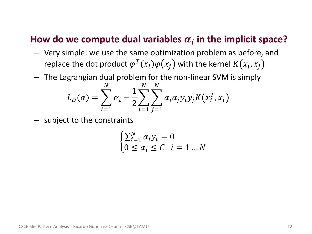## How do we compute dual variables  $\alpha_i$  in the implicit space?

- Very simple: we use the same optimization problem as before, and replace the dot product  $\varphi^T(x_i) \varphi(x_j)$  with the kernel  $K\big(x_i, x_j\big)$
- The Lagrangian dual problem for the non-linear SVM is simply

$$
L_D(\alpha) = \sum_{i=1}^N \alpha_i - \frac{1}{2} \sum_{i=1}^N \sum_{j=1}^N \alpha_i \alpha_j y_i y_j K(x_i^T, x_j)
$$

– subject to the constraints

$$
\begin{cases} \sum_{i=1}^{N} \alpha_i y_i = 0\\ 0 \le \alpha_i \le C \quad i = 1 \dots N \end{cases}
$$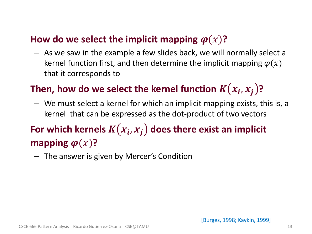### **How do we select the implicit mapping**  $\varphi(x)$ **?**

– As we saw in the example a few slides back, we will normally select a kernel function first, and then determine the implicit mapping  $\varphi(x)$ that it corresponds to

## Then, how do we select the kernel function  $K(x_i, x_j)$ ?

– We must select a kernel for which an implicit mapping exists, this is, a kernel that can be expressed as the dot-product of two vectors

## For which kernels  $K(x_i, x_j)$  does there exist an implicit **mapping**  $\boldsymbol{\varphi}(x)$ ?

– The answer is given by Mercer's Condition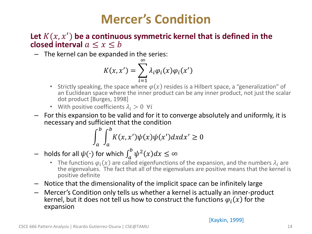## **Mercer's Condition**

#### Let  $K(x, x')$  be a continuous symmetric kernel that is defined in the **closed interval**  $a \leq x \leq b$

– The kernel can be expanded in the series:

$$
K(x, x') = \sum_{i=1}^{\infty} \lambda_i \varphi_i(x) \varphi_i(x')
$$

- Strictly speaking, the space where  $\varphi(x)$  resides is a Hilbert space, a "generalization" of an Euclidean space where the inner product can be any inner product, not just the scalar dot product [Burges, 1998]
- With positive coefficients  $\lambda_i > 0$   $\forall i$
- For this expansion to be valid and for it to converge absolutely and uniformly, it is necessary and sufficient that the condition

$$
\int_{a}^{b} \int_{a}^{b} K(x, x') \psi(x) \psi(x') dx dx' \ge 0
$$

- holds for all  $ψ(·)$  for which  $\int_a^b ψ^2(x)dx \leq ∞$ 
	- The functions  $\varphi_i(x)$  are called eigenfunctions of the expansion, and the numbers  $\lambda_i$  are the eigenvalues. The fact that all of the eigenvalues are positive means that the kernel is positive definite
- Notice that the dimensionality of the implicit space can be infinitely large
- Mercer's Condition only tells us whether a kernel is actually an inner-product kernel, but it does not tell us how to construct the functions  $\varphi_i(x)$  for the expansion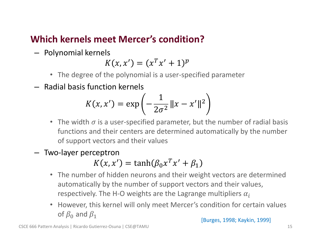### • **Which kernels meet Mercer's condition?**

– Polynomial kernels

$$
K(x, x') = (x^T x' + 1)^p
$$

- The degree of the polynomial is a user-specified parameter
- Radial basis function kernels

$$
K(x, x') = \exp\left(-\frac{1}{2\sigma^2}||x - x'||^2\right)
$$

- The width  $\sigma$  is a user-specified parameter, but the number of radial basis functions and their centers are determined automatically by the number of support vectors and their values
- Two-layer perceptron

$$
K(x, x') = \tanh(\beta_0 x^T x' + \beta_1)
$$

- The number of hidden neurons and their weight vectors are determined automatically by the number of support vectors and their values, respectively. The H-O weights are the Lagrange multipliers  $\alpha_i$
- However, this kernel will only meet Mercer's condition for certain values of  $\beta_0$  and  $\beta_1$

[Burges, 1998; Kaykin, 1999]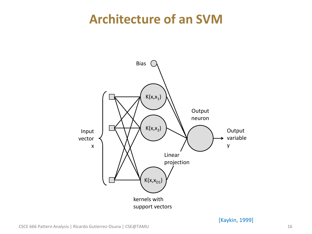## **Architecture of an SVM**



[Kaykin, 1999]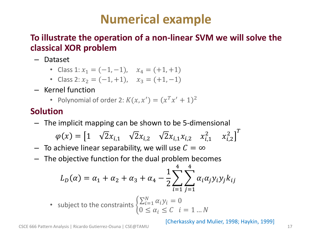## **Numerical example**

#### • **To illustrate the operation of a non-linear SVM we will solve the classical XOR problem**

- Dataset
	- Class 1:  $x_1 = (-1, -1)$ ,  $x_4 = (+1, +1)$
	- Class 2:  $x_2 = (-1, +1)$ ,  $x_3 = (+1, -1)$
- Kernel function
	- Polynomial of order 2:  $K(x, x') = (x^T x' + 1)^2$

### • **Solution**

– The implicit mapping can be shown to be 5-dimensional

$$
\varphi(x) = \begin{bmatrix} 1 & \sqrt{2}x_{i,1} & \sqrt{2}x_{i,2} & \sqrt{2}x_{i,1}x_{i,2} & x_{i,1}^2 & x_{i,2}^2 \end{bmatrix}^T
$$

- $-$  To achieve linear separability, we will use  $C = \infty$
- The objective function for the dual problem becomes

$$
L_D(\alpha) = \alpha_1 + \alpha_2 + \alpha_3 + \alpha_4 - \frac{1}{2} \sum_{i=1}^4 \sum_{j=1}^4 \alpha_i \alpha_j y_i y_j k_{ij}
$$

• subject to the constraints 
$$
\begin{cases} \sum_{i=1}^{N} \alpha_i y_i = 0\\ 0 \le \alpha_i \le C \quad i = 1 \dots N \end{cases}
$$

[Cherkassky and Mulier, 1998; Haykin, 1999]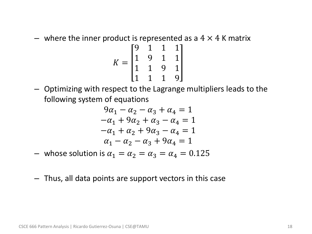– where the inner product is represented as a  $4 \times 4$  K matrix

$$
K = \begin{bmatrix} 9 & 1 & 1 & 1 \\ 1 & 9 & 1 & 1 \\ 1 & 1 & 9 & 1 \\ 1 & 1 & 1 & 9 \end{bmatrix}
$$

– Optimizing with respect to the Lagrange multipliers leads to the following system of equations

$$
9\alpha_1 - \alpha_2 - \alpha_3 + \alpha_4 = 1
$$
  
\n
$$
-\alpha_1 + 9\alpha_2 + \alpha_3 - \alpha_4 = 1
$$
  
\n
$$
-\alpha_1 + \alpha_2 + 9\alpha_3 - \alpha_4 = 1
$$
  
\n
$$
\alpha_1 - \alpha_2 - \alpha_3 + 9\alpha_4 = 1
$$

- whose solution is  $\alpha_1 = \alpha_2 = \alpha_3 = \alpha_4 = 0.125$
- Thus, all data points are support vectors in this case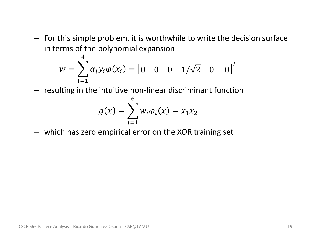– For this simple problem, it is worthwhile to write the decision surface in terms of the polynomial expansion

$$
w = \sum_{i=1}^{1} \alpha_i y_i \varphi(x_i) = [0 \quad 0 \quad 0 \quad 1/\sqrt{2} \quad 0 \quad 0]^T
$$

– resulting in the intuitive non-linear discriminant function

$$
g(x) = \sum_{i=1}^{6} w_i \varphi_i(x) = x_1 x_2
$$

– which has zero empirical error on the XOR training set

 $\mathbf{\Lambda}$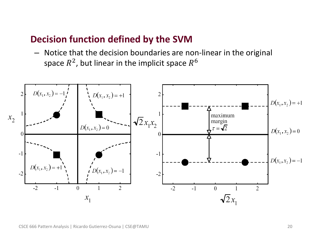#### • **Decision function defined by the SVM**

– Notice that the decision boundaries are non-linear in the original space  $R^2$ , but linear in the implicit space  $R^6$ 

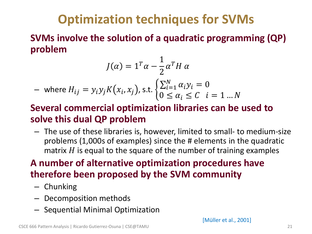## **Optimization techniques for SVMs**

• **SVMs involve the solution of a quadratic programming (QP) problem**

$$
J(\alpha) = 1^T \alpha - \frac{1}{2} \alpha^T H \alpha
$$
  
- where  $H_{ij} = y_i y_j K(x_i, x_j)$ , s.t. 
$$
\begin{cases} \sum_{i=1}^N \alpha_i y_i = 0\\ 0 \le \alpha_i \le C \quad i = 1 \dots N \end{cases}
$$

### • **Several commercial optimization libraries can be used to solve this dual QP problem**

– The use of these libraries is, however, limited to small- to medium-size problems (1,000s of examples) since the # elements in the quadratic matrix  $H$  is equal to the square of the number of training examples

## • **A number of alternative optimization procedures have therefore been proposed by the SVM community**

- Chunking
- Decomposition methods
- Sequential Minimal Optimization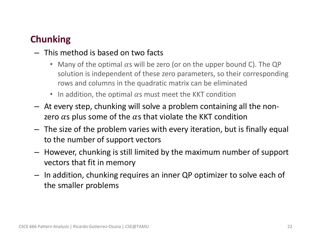## • **Chunking**

- This method is based on two facts
	- Many of the optimal  $\alpha$ s will be zero (or on the upper bound C). The QP solution is independent of these zero parameters, so their corresponding rows and columns in the quadratic matrix can be eliminated
	- In addition, the optimal  $\alpha$ s must meet the KKT condition
- At every step, chunking will solve a problem containing all the nonzero  $\alpha$ s plus some of the  $\alpha$ s that violate the KKT condition
- The size of the problem varies with every iteration, but is finally equal to the number of support vectors
- However, chunking is still limited by the maximum number of support vectors that fit in memory
- In addition, chunking requires an inner QP optimizer to solve each of the smaller problems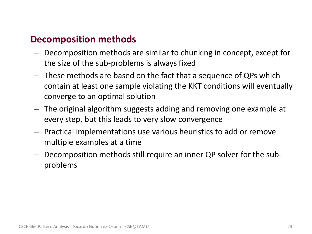### • **Decomposition methods**

- Decomposition methods are similar to chunking in concept, except for the size of the sub-problems is always fixed
- These methods are based on the fact that a sequence of QPs which contain at least one sample violating the KKT conditions will eventually converge to an optimal solution
- The original algorithm suggests adding and removing one example at every step, but this leads to very slow convergence
- Practical implementations use various heuristics to add or remove multiple examples at a time
- Decomposition methods still require an inner QP solver for the subproblems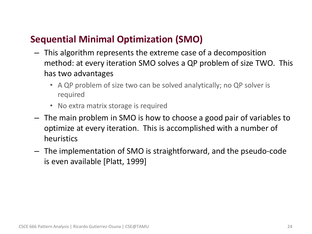### • **Sequential Minimal Optimization (SMO)**

- This algorithm represents the extreme case of a decomposition method: at every iteration SMO solves a QP problem of size TWO. This has two advantages
	- A QP problem of size two can be solved analytically; no QP solver is required
	- No extra matrix storage is required
- The main problem in SMO is how to choose a good pair of variables to optimize at every iteration. This is accomplished with a number of heuristics
- The implementation of SMO is straightforward, and the pseudo-code is even available [Platt, 1999]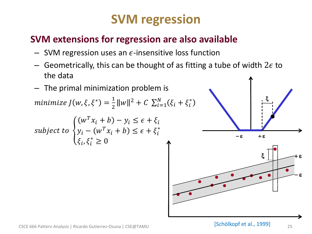## **SVM regression**

### • **SVM extensions for regression are also available**

- SVM regression uses an  $\epsilon$ -insensitive loss function
- Geometrically, this can be thought of as fitting a tube of width  $2\epsilon$  to the data
- The primal minimization problem is

minimize  $J(w,\xi,\xi^*)=\frac{1}{2}$  $\frac{1}{2}||w||^2 + C \sum_{i=1}^N (\xi_i + \xi_i^*)$  $i=1$ 

subject to 
$$
\begin{cases} (w^T x_i + b) - y_i \le \epsilon + \xi_i \\ y_i - (w^T x_i + b) \le \epsilon + \xi_i^* \\ \xi_i, \xi_i^* \ge 0 \end{cases}
$$

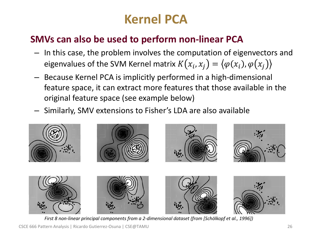# **Kernel PCA**

### • **SMVs can also be used to perform non-linear PCA**

- In this case, the problem involves the computation of eigenvectors and eigenvalues of the SVM Kernel matrix  $K\big(x_i, x_j\big) = \big\langle \varphi(x_i), \varphi\big(x_j\big) \big\rangle$
- Because Kernel PCA is implicitly performed in a high-dimensional feature space, it can extract more features that those available in the original feature space (see example below)
- Similarly, SMV extensions to Fisher's LDA are also available



*First 8 non-linear principal components from a 2-dimensional dataset (from [Schölkopf et al., 1996])*

CSCE 666 Pattern Analysis | Ricardo Gutierrez-Osuna | CSE@TAMU 26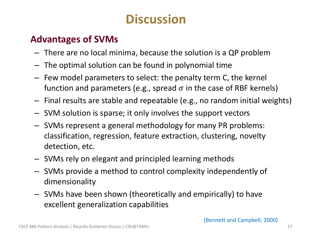## **Discussion**

### • **Advantages of SVMs**

- There are no local minima, because the solution is a QP problem
- The optimal solution can be found in polynomial time
- Few model parameters to select: the penalty term C, the kernel function and parameters (e.g., spread  $\sigma$  in the case of RBF kernels)
- Final results are stable and repeatable (e.g., no random initial weights)
- SVM solution is sparse; it only involves the support vectors
- SVMs represent a general methodology for many PR problems: classification, regression, feature extraction, clustering, novelty detection, etc.
- SVMs rely on elegant and principled learning methods
- SVMs provide a method to control complexity independently of dimensionality
- SVMs have been shown (theoretically and empirically) to have excellent generalization capabilities